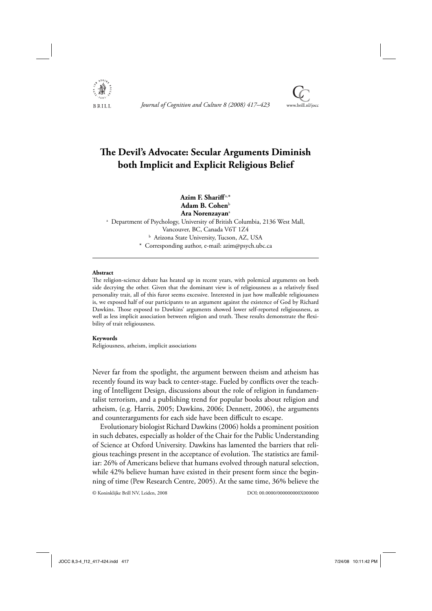

Journal of Cognition and Culture 8 (2008) 417–423



# **The Devil's Advocate: Secular Arguments Diminish both Implicit and Explicit Religious Belief**

**Azim F. Shariff** a,\* **Adam B. Cohen**<sup>b</sup> **Ara Norenzayan**<sup>a</sup>

a Department of Psychology, University of British Columbia, 2136 West Mall, Vancouver, BC, Canada V6T 1Z4 b Arizona State University, Tucson, AZ, USA \* Corresponding author, e-mail: azim@psych.ubc.ca

## **Abstract**

The religion-science debate has heated up in recent years, with polemical arguments on both side decrying the other. Given that the dominant view is of religiousness as a relatively fixed personality trait, all of this furor seems excessive. Interested in just how malleable religiousness is, we exposed half of our participants to an argument against the existence of God by Richard Dawkins. Those exposed to Dawkins' arguments showed lower self-reported religiousness, as well as less implicit association between religion and truth. These results demonstrate the flexibility of trait religiousness.

#### **Keywords**

Religiousness, atheism, implicit associations

Never far from the spotlight, the argument between theism and atheism has recently found its way back to center-stage. Fueled by conflicts over the teaching of Intelligent Design, discussions about the role of religion in fundamentalist terrorism, and a publishing trend for popular books about religion and atheism, (e.g. Harris, 2005; Dawkins, 2006; Dennett, 2006), the arguments and counterarguments for each side have been difficult to escape.

Evolutionary biologist Richard Dawkins (2006) holds a prominent position in such debates, especially as holder of the Chair for the Public Understanding of Science at Oxford University. Dawkins has lamented the barriers that religious teachings present in the acceptance of evolution. The statistics are familiar: 26% of Americans believe that humans evolved through natural selection, while 42% believe human have existed in their present form since the beginning of time (Pew Research Centre, 2005). At the same time, 36% believe the

© Koninklijke Brill NV, Leiden, 2008 DOI: 00.0000/000000000X000000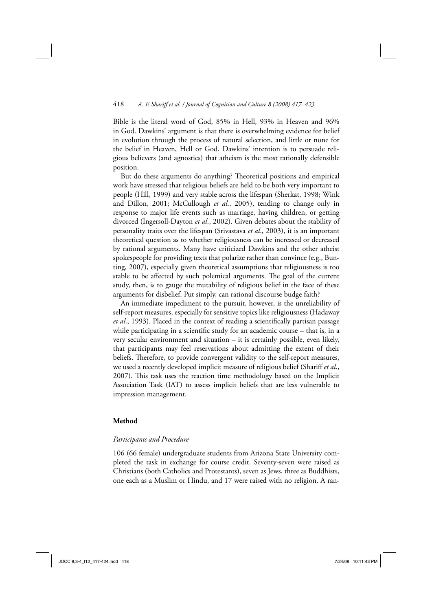## 418 *A. F. Shariff et al. / Journal of Cognition and Culture 8 (2008) 417–423*

Bible is the literal word of God, 85% in Hell, 93% in Heaven and 96% in God. Dawkins' argument is that there is overwhelming evidence for belief in evolution through the process of natural selection, and little or none for the belief in Heaven, Hell or God. Dawkins' intention is to persuade religious believers (and agnostics) that atheism is the most rationally defensible position.

But do these arguments do anything? Theoretical positions and empirical work have stressed that religious beliefs are held to be both very important to people (Hill, 1999) and very stable across the lifespan (Sherkat, 1998; Wink and Dillon, 2001; McCullough *et al*., 2005), tending to change only in response to major life events such as marriage, having children, or getting divorced (Ingersoll-Dayton *et al*., 2002). Given debates about the stability of personality traits over the lifespan (Srivastava *et al*., 2003), it is an important theoretical question as to whether religiousness can be increased or decreased by rational arguments. Many have criticized Dawkins and the other atheist spokespeople for providing texts that polarize rather than convince (e.g., Bunting, 2007), especially given theoretical assumptions that religiousness is too stable to be affected by such polemical arguments. The goal of the current study, then, is to gauge the mutability of religious belief in the face of these arguments for disbelief. Put simply, can rational discourse budge faith?

An immediate impediment to the pursuit, however, is the unreliability of self-report measures, especially for sensitive topics like religiousness (Hadaway *et al.*, 1993). Placed in the context of reading a scientifically partisan passage while participating in a scientific study for an academic course  $-$  that is, in a very secular environment and situation – it is certainly possible, even likely, that participants may feel reservations about admitting the extent of their beliefs. Therefore, to provide convergent validity to the self-report measures, we used a recently developed implicit measure of religious belief (Shariff *et al*., 2007). This task uses the reaction time methodology based on the Implicit Association Task (IAT) to assess implicit beliefs that are less vulnerable to impression management.

## **Method**

## *Participants and Procedure*

106 (66 female) undergraduate students from Arizona State University completed the task in exchange for course credit. Seventy-seven were raised as Christians (both Catholics and Protestants), seven as Jews, three as Buddhists, one each as a Muslim or Hindu, and 17 were raised with no religion. A ran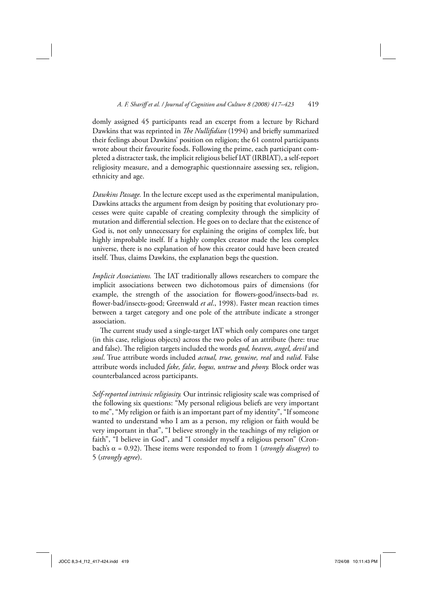domly assigned 45 participants read an excerpt from a lecture by Richard Dawkins that was reprinted in *The Nullifidian* (1994) and briefly summarized their feelings about Dawkins' position on religion; the 61 control participants wrote about their favourite foods. Following the prime, each participant completed a distracter task, the implicit religious belief IAT (IRBIAT), a self-report religiosity measure, and a demographic questionnaire assessing sex, religion, ethnicity and age.

*Dawkins Passage.* In the lecture except used as the experimental manipulation, Dawkins attacks the argument from design by positing that evolutionary processes were quite capable of creating complexity through the simplicity of mutation and differential selection. He goes on to declare that the existence of God is, not only unnecessary for explaining the origins of complex life, but highly improbable itself. If a highly complex creator made the less complex universe, there is no explanation of how this creator could have been created itself. Thus, claims Dawkins, the explanation begs the question.

*Implicit Associations*. The IAT traditionally allows researchers to compare the implicit associations between two dichotomous pairs of dimensions (for example, the strength of the association for flowers-good/insects-bad *vs*. flower-bad/insects-good; Greenwald *et al.*, 1998). Faster mean reaction times between a target category and one pole of the attribute indicate a stronger association.

The current study used a single-target IAT which only compares one target (in this case, religious objects) across the two poles of an attribute (here: true and false). The religion targets included the words *god, heaven, angel, devil* and *soul*. True attribute words included *actual, true, genuine, real* and *valid*. False attribute words included *fake, false, bogus, untrue* and *phony.* Block order was counterbalanced across participants.

*Self-reported intrinsic religiosity.* Our intrinsic religiosity scale was comprised of the following six questions: "My personal religious beliefs are very important to me", "My religion or faith is an important part of my identity", "If someone wanted to understand who I am as a person, my religion or faith would be very important in that", "I believe strongly in the teachings of my religion or faith", "I believe in God", and "I consider myself a religious person" (Cronbach's  $\alpha$  = 0.92). These items were responded to from 1 (*strongly disagree*) to 5 (*strongly agree*).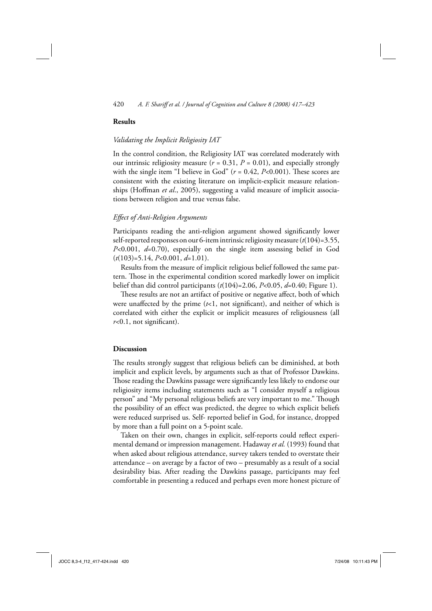## 420 *A. F. Shariff et al. / Journal of Cognition and Culture 8 (2008) 417–423*

# **Results**

## *Validating the Implicit Religiosity IAT*

In the control condition, the Religiosity IAT was correlated moderately with our intrinsic religiosity measure  $(r = 0.31, P = 0.01)$ , and especially strongly with the single item "I believe in God"  $(r = 0.42, P<0.001)$ . These scores are consistent with the existing literature on implicit-explicit measure relationships (Hoffman *et al.*, 2005), suggesting a valid measure of implicit associations between religion and true versus false.

## *Eff ect of Anti-Religion Arguments*

Participants reading the anti-religion argument showed significantly lower self-reported responses on our 6-item intrinsic religiosity measure (*t*(104)=3.55, *P*<0.001, *d*=0.70), especially on the single item assessing belief in God (*t*(103)=5.14, *P*<0.001, *d*=1.01).

Results from the measure of implicit religious belief followed the same pattern. Those in the experimental condition scored markedly lower on implicit belief than did control participants (*t*(104)=2.06, *P*<0.05, *d*=0.40; Figure 1).

These results are not an artifact of positive or negative affect, both of which were unaffected by the prime  $(t<1$ , not significant), and neither of which is correlated with either the explicit or implicit measures of religiousness (all  $r<0.1$ , not significant).

#### **Discussion**

The results strongly suggest that religious beliefs can be diminished, at both implicit and explicit levels, by arguments such as that of Professor Dawkins. Those reading the Dawkins passage were significantly less likely to endorse our religiosity items including statements such as "I consider myself a religious person" and "My personal religious beliefs are very important to me." Though the possibility of an effect was predicted, the degree to which explicit beliefs were reduced surprised us. Self- reported belief in God, for instance, dropped by more than a full point on a 5-point scale.

Taken on their own, changes in explicit, self-reports could reflect experimental demand or impression management. Hadaway *et al.* (1993) found that when asked about religious attendance, survey takers tended to overstate their attendance – on average by a factor of two – presumably as a result of a social desirability bias. After reading the Dawkins passage, participants may feel comfortable in presenting a reduced and perhaps even more honest picture of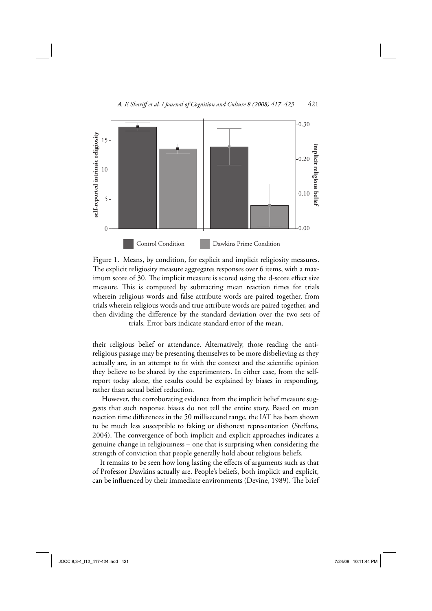



Figure 1. Means, by condition, for explicit and implicit religiosity measures. The explicit religiosity measure aggregates responses over 6 items, with a maximum score of 30. The implicit measure is scored using the d-score effect size measure. This is computed by subtracting mean reaction times for trials wherein religious words and false attribute words are paired together, from trials wherein religious words and true attribute words are paired together, and then dividing the difference by the standard deviation over the two sets of trials. Error bars indicate standard error of the mean.

their religious belief or attendance. Alternatively, those reading the antireligious passage may be presenting themselves to be more disbelieving as they actually are, in an attempt to fit with the context and the scientific opinion they believe to be shared by the experimenters. In either case, from the selfreport today alone, the results could be explained by biases in responding, rather than actual belief reduction.

 However, the corroborating evidence from the implicit belief measure suggests that such response biases do not tell the entire story. Based on mean reaction time differences in the 50 millisecond range, the IAT has been shown to be much less susceptible to faking or dishonest representation (Steffans, 2004). The convergence of both implicit and explicit approaches indicates a genuine change in religiousness – one that is surprising when considering the strength of conviction that people generally hold about religious beliefs.

It remains to be seen how long lasting the effects of arguments such as that of Professor Dawkins actually are. People's beliefs, both implicit and explicit, can be influenced by their immediate environments (Devine, 1989). The brief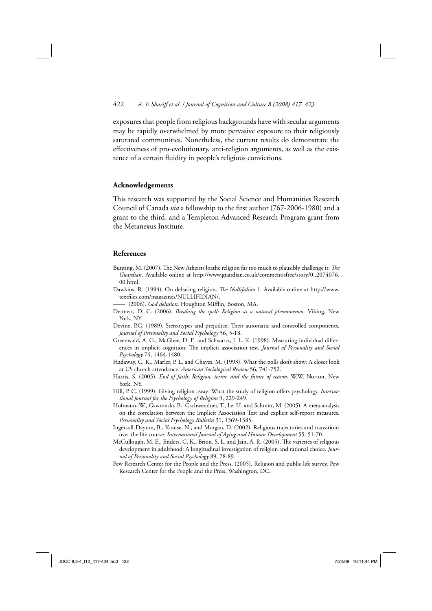## 422 *A. F. Shariff et al. / Journal of Cognition and Culture 8 (2008) 417–423*

exposures that people from religious backgrounds have with secular arguments may be rapidly overwhelmed by more pervasive exposure to their religiously saturated communities. Nonetheless, the current results do demonstrate the effectiveness of pro-evolutionary, anti-religion arguments, as well as the existence of a certain fluidity in people's religious convictions.

## **Acknowledgements**

This research was supported by the Social Science and Humanities Research Council of Canada *via* a fellowship to the first author (767-2006-1980) and a grant to the third, and a Templeton Advanced Research Program grant from the Metanexus Institute.

## **References**

- Bunting, M. (2007). The New Atheists loathe religion far too much to plausibly challenge it. *The Guardian*. Available online at http://www.guardian.co.uk/commentisfree/story/0,,2074076, 00.html.
- Dawkins, R. (1994). On debating religion. *The Nullifidian* 1. Available online at http://www. textfiles.com/magazines/NULLIFIDIAN/.
- (2006). God delusion. Houghton Mifflin, Boston, MA.
- Dennett, D. C. (2006). *Breaking the spell: Religion as a natural phenomenon.* Viking, New York, NY.
- Devine, P.G. (1989). Stereotypes and prejudice: Their automatic and controlled components. *Journal of Personality and Social Psychology* 56, 5-18.
- Greenwald, A. G., McGhee, D. E. and Schwartz, J. L. K. (1998). Measuring individual differences in implicit cognition: The implicit association test. *Journal of Personality and Social Psychology* 74, 1464-1480.
- Hadaway, C. K., Marler, P. L. and Chaves, M. (1993). What the polls don't show: A closer look at US church attendance. *American Sociological Review* 56, 741-752.
- Harris, S. (2005). *End of faith: Religion, terror, and the future of reason*. W.W. Norton, New York, NY.
- Hill, P. C. (1999). Giving religion away: What the study of religion offers psychology. *International Journal for the Psychology of Religion* 9, 229-249.
- Hofmann, W., Gawronski, B., Gschwendner, T., Le, H. and Schmitt, M. (2005). A meta-analysis on the correlation between the Implicit Association Test and explicit self-report measures. *Personality and Social Psychology Bulletin* 31, 1369-1385.
- Ingersoll-Dayton, B., Krause, N., and Morgan, D. (2002). Religious trajectories and transitions over the life course. *International Journal of Aging and Human Development* 55*,* 51-70.
- McCullough, M. E., Enders, C. K., Brion, S. L. and Jain, A. R. (2005). The varieties of religious development in adulthood: A longitudinal investigation of religion and rational choice. *Journal of Personality and Social Psychology* 89, 78-89.
- Pew Research Center for the People and the Press. (2005). Religion and public life survey. Pew Research Center for the People and the Press, Washington, DC.